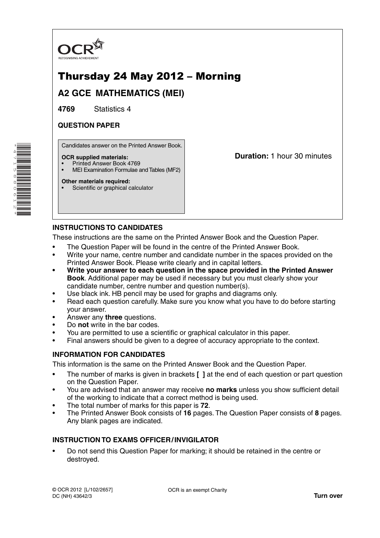

# Thursday 24 May 2012 – Morning

**A2 GCE MATHEMATICS (MEI)**

**4769** Statistics 4

# **QUESTION PAPER**

Candidates answer on the Printed Answer Book.

### **OCR supplied materials:**

- Printed Answer Book 4769
- MEI Examination Formulae and Tables (MF2)

### **Other materials required:**

\*4715880612\*

Scientific or graphical calculator

**Duration:** 1 hour 30 minutes

# **INSTRUCTIONS TO CANDIDATES**

These instructions are the same on the Printed Answer Book and the Question Paper.

- The Question Paper will be found in the centre of the Printed Answer Book.
- Write your name, centre number and candidate number in the spaces provided on the Printed Answer Book. Please write clearly and in capital letters.
- **Write your answer to each question in the space provided in the Printed Answer Book**. Additional paper may be used if necessary but you must clearly show your candidate number, centre number and question number(s).
- Use black ink. HB pencil may be used for graphs and diagrams only.
- Read each question carefully. Make sure you know what you have to do before starting your answer.
- Answer any **three** questions.
- Do **not** write in the bar codes.
- You are permitted to use a scientific or graphical calculator in this paper.
- Final answers should be given to a degree of accuracy appropriate to the context.

# **INFORMATION FOR CANDIDATES**

This information is the same on the Printed Answer Book and the Question Paper.

- The number of marks is given in brackets **[ ]** at the end of each question or part question on the Question Paper.
- You are advised that an answer may receive **no marks** unless you show sufficient detail of the working to indicate that a correct method is being used.
- The total number of marks for this paper is **72**.
- The Printed Answer Book consists of **16** pages. The Question Paper consists of **8** pages. Any blank pages are indicated.

# **INSTRUCTION TO EXAMS OFFICER / INVIGILATOR**

• Do not send this Question Paper for marking; it should be retained in the centre or destroyed.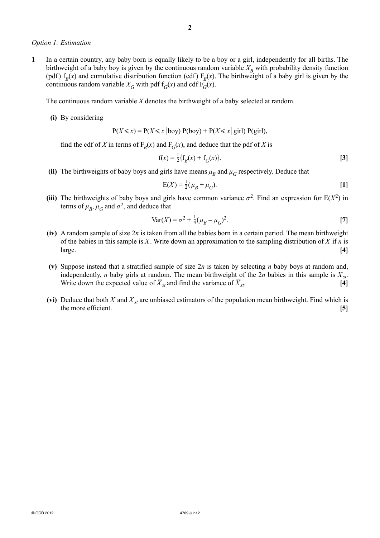#### *Option 1: Estimation*

**1** In a certain country, any baby born is equally likely to be a boy or a girl, independently for all births. The birthweight of a baby boy is given by the continuous random variable  $X_B$  with probability density function (pdf)  $f_B(x)$  and cumulative distribution function (cdf)  $F_B(x)$ . The birthweight of a baby girl is given by the continuous random variable  $X_G$  with pdf  $f_G(x)$  and cdf  $F_G(x)$ .

The continuous random variable *X* denotes the birthweight of a baby selected at random.

 **(i)** By considering

$$
P(X \le x) = P(X \le x | boy) P(boy) + P(X \le x | girl) P(girl),
$$

find the cdf of *X* in terms of  $F_B(x)$  and  $F_G(x)$ , and deduce that the pdf of *X* is

$$
f(x) = \frac{1}{2} \{ f_B(x) + f_G(x) \}.
$$
 [3]

**(ii)** The birthweights of baby boys and girls have means  $\mu_B$  and  $\mu_G$  respectively. Deduce that

$$
E(X) = \frac{1}{2}(\mu_B + \mu_G). \tag{1}
$$

(iii) The birthweights of baby boys and girls have common variance  $\sigma^2$ . Find an expression for E(*X*<sup>2</sup>) in terms of  $\mu_B$ ,  $\mu_G$  and  $\sigma^2$ , and deduce that

$$
Var(X) = \sigma^2 + \frac{1}{4}(\mu_B - \mu_G)^2.
$$
 [7]

- **(iv)** A random sample of size 2*n* is taken from all the babies born in a certain period. The mean birthweight of the babies in this sample is  $\overline{X}$ . Write down an approximation to the sampling distribution of  $\overline{X}$  if *n* is large. **[4]**
- **(v)** Suppose instead that a stratified sample of size 2*n* is taken by selecting *n* baby boys at random and, independently, *n* baby girls at random. The mean birthweight of the 2*n* babies in this sample is  $\overline{X}_{st}$ . Write down the expected value of  $\overline{X}_{st}$  and find the variance of  $\overline{X}_{st}$ . [4]
- (vi) Deduce that both  $\overline{X}$  and  $\overline{X}_{st}$  are unbiased estimators of the population mean birthweight. Find which is the more efficient. **[5]**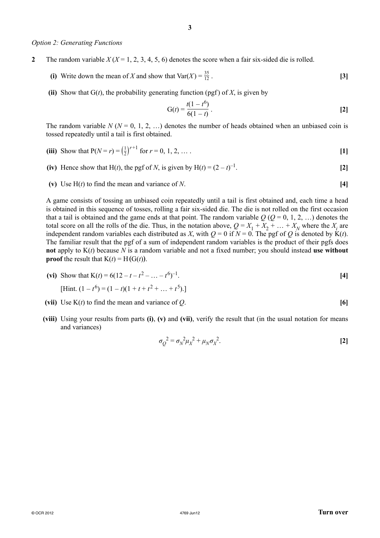#### *Option 2: Generating Functions*

- **2** The random variable  $X(X = 1, 2, 3, 4, 5, 6)$  denotes the score when a fair six-sided die is rolled.
	- **(i)** Write down the mean of *X* and show that  $Var(X) = \frac{35}{12}$ .  $\frac{33}{12}$ . **[3]**
	- **(ii)** Show that  $G(t)$ , the probability generating function (pgf) of *X*, is given by

$$
G(t) = \frac{t(1 - t^6)}{6(1 - t)}.
$$
 [2]

The random variable  $N (N = 0, 1, 2, ...)$  denotes the number of heads obtained when an unbiased coin is tossed repeatedly until a tail is first obtained.

- (iii) Show that  $P(N = r) = (\frac{1}{2})^{r+1}$  for  $r = 0, 1, 2, ...$  [1]
	- **(iv)** Hence show that H(*t*), the pgf of *N*, is given by H(*t*) =  $(2 t)^{-1}$ .  $\begin{bmatrix} -1 \end{bmatrix}$ . **[2]**
	- **(v)** Use H(*t*) to find the mean and variance of *N*. **[4]**

A game consists of tossing an unbiased coin repeatedly until a tail is first obtained and, each time a head is obtained in this sequence of tosses, rolling a fair six-sided die. The die is not rolled on the first occasion that a tail is obtained and the game ends at that point. The random variable  $Q$  ( $Q = 0, 1, 2, ...$ ) denotes the total score on all the rolls of the die. Thus, in the notation above,  $Q = X_1 + X_2 + ... + X_N$  where the  $X_i$  are independent random variables each distributed as *X*, with  $Q = 0$  if  $N = 0$ . The pgf of *Q* is denoted by  $K(t)$ . The familiar result that the pgf of a sum of independent random variables is the product of their pgfs does **not** apply to K(*t*) because *N* is a random variable and not a fixed number; you should instead **use without proof** the result that  $K(t) = H(G(t))$ .

(vi) Show that 
$$
K(t) = 6(12 - t - t^2 - ... - t^6)^{-1}
$$
. [4]

[Hint. 
$$
(1 - t^6) = (1 - t)(1 + t + t^2 + ... + t^5)
$$
.]

- **(vii)** Use  $K(t)$  to find the mean and variance of *Q*. [6]
- **(viii)** Using your results from parts **(i)**, **(v)** and **(vii)**, verify the result that (in the usual notation for means and variances)

$$
\sigma_Q^2 = \sigma_N^2 \mu_X^2 + \mu_N \sigma_X^2.
$$
 [2]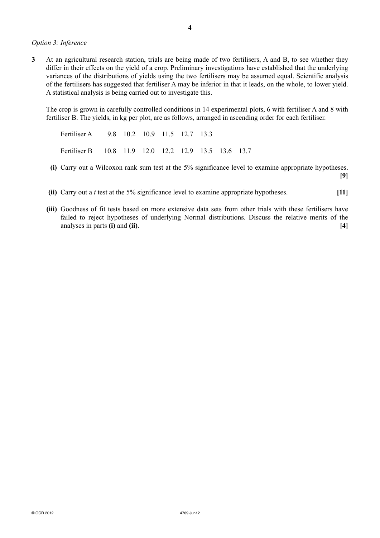### *Option 3: Inference*

**3** At an agricultural research station, trials are being made of two fertilisers, A and B, to see whether they differ in their effects on the yield of a crop. Preliminary investigations have established that the underlying variances of the distributions of yields using the two fertilisers may be assumed equal. Scientific analysis of the fertilisers has suggested that fertiliser A may be inferior in that it leads, on the whole, to lower yield. A statistical analysis is being carried out to investigate this.

The crop is grown in carefully controlled conditions in 14 experimental plots, 6 with fertiliser A and 8 with fertiliser B. The yields, in kg per plot, are as follows, arranged in ascending order for each fertiliser.

Fertiliser A 9.8 10.2 10.9 11.5 12.7 13.3 Fertiliser B 10.8 11.9 12.0 12.2 12.9 13.5 13.6 13.7

- **(i)** Carry out a Wilcoxon rank sum test at the 5% significance level to examine appropriate hypotheses. **[9]**
- **(ii)** Carry out a *t* test at the 5% significance level to examine appropriate hypotheses. **[11]**
- **(iii)** Goodness of fit tests based on more extensive data sets from other trials with these fertilisers have failed to reject hypotheses of underlying Normal distributions. Discuss the relative merits of the analyses in parts **(i)** and **(ii)**. **[4]**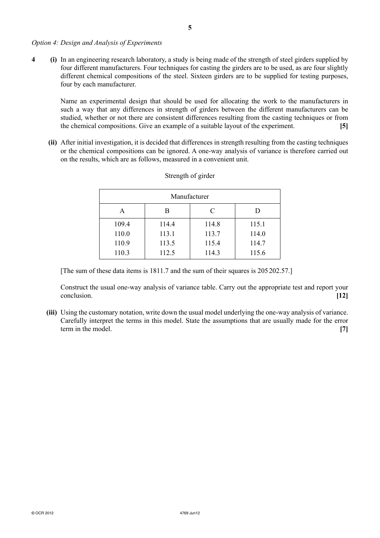*Option 4: Design and Analysis of Experiments*

**4 (i)** In an engineering research laboratory, a study is being made of the strength of steel girders supplied by four different manufacturers. Four techniques for casting the girders are to be used, as are four slightly different chemical compositions of the steel. Sixteen girders are to be supplied for testing purposes, four by each manufacturer.

Name an experimental design that should be used for allocating the work to the manufacturers in such a way that any differences in strength of girders between the different manufacturers can be studied, whether or not there are consistent differences resulting from the casting techniques or from the chemical compositions. Give an example of a suitable layout of the experiment. **[5]**

 **(ii)** After initial investigation, it is decided that differences in strength resulting from the casting techniques or the chemical compositions can be ignored. A one-way analysis of variance is therefore carried out on the results, which are as follows, measured in a convenient unit.

| Manufacturer |       |       |       |
|--------------|-------|-------|-------|
|              | B     | C     |       |
| 109.4        | 114.4 | 114.8 | 115.1 |
| 110.0        | 113.1 | 113.7 | 114.0 |
| 110.9        | 113.5 | 115.4 | 114.7 |
| 110.3        | 112.5 | 114.3 | 115.6 |

### Strength of girder

[The sum of these data items is 1811.7 and the sum of their squares is 205 202.57.]

Construct the usual one-way analysis of variance table. Carry out the appropriate test and report your conclusion. **[12]**

 **(iii)** Using the customary notation, write down the usual model underlying the one-way analysis of variance. Carefully interpret the terms in this model. State the assumptions that are usually made for the error term in the model. **[7]**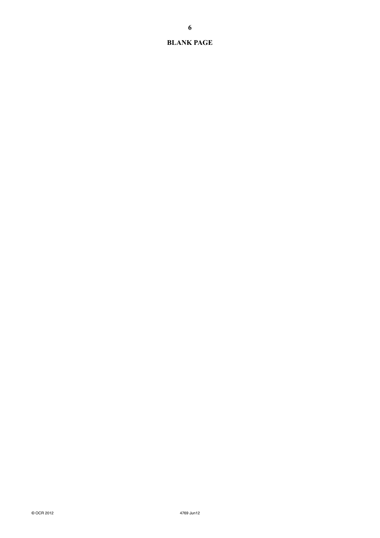# **BLANK PAGE**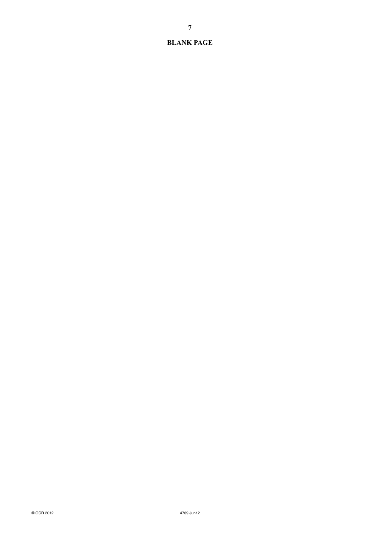# **BLANK PAGE**